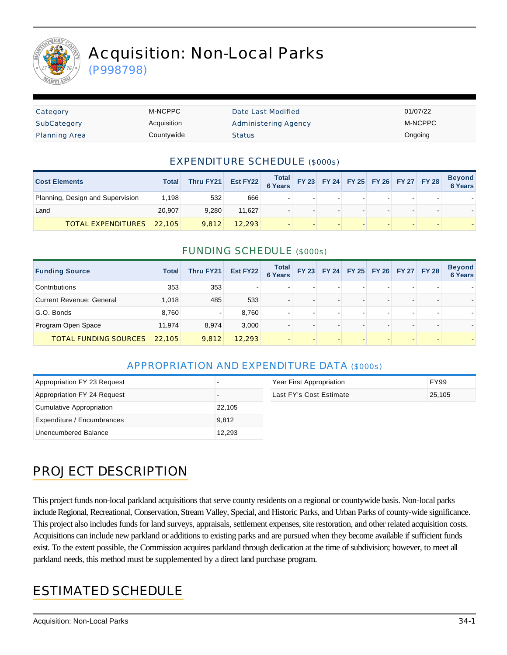

# Acquisition: Non-Local Parks

(P998798)

| Category             | M-NCPPC     | Date Last Modified   | 01/07/22 |
|----------------------|-------------|----------------------|----------|
| SubCategory          | Acquisition | Administering Agency | M-NCPPC  |
| <b>Planning Area</b> | Countywide  | <b>Status</b>        | Ongoing  |

#### EXPENDITURE SCHEDULE (\$000s)

| <b>Cost Elements</b>             | Total  | Thru FY21 Est FY22 Total FY 23 FY 24 FY 25 FY 26 FY 27 FY 28 |        |  |  |  | <b>Beyond</b><br>6 Years |
|----------------------------------|--------|--------------------------------------------------------------|--------|--|--|--|--------------------------|
| Planning, Design and Supervision | 1.198  | 532                                                          | 666    |  |  |  |                          |
| Land                             | 20.907 | 9.280                                                        | 11.627 |  |  |  |                          |
| <b>TOTAL EXPENDITURES</b> 22,105 |        | 9.812                                                        | 12.293 |  |  |  |                          |

#### FUNDING SCHEDULE (\$000s)

| <b>Funding Source</b>           | <b>Total</b> | Thru FY21 | Est FY22 | Total<br><b>6 Years</b> | <b>FY 23</b> |                          | FY 24 FY 25 FY 26 FY 27 FY 28 |  | <b>Beyond</b><br><b>6 Years</b> |
|---------------------------------|--------------|-----------|----------|-------------------------|--------------|--------------------------|-------------------------------|--|---------------------------------|
| Contributions                   | 353          | 353       |          |                         |              |                          |                               |  |                                 |
| <b>Current Revenue: General</b> | 1,018        | 485       | 533      |                         |              | $\overline{\phantom{a}}$ |                               |  |                                 |
| G.O. Bonds                      | 8,760        |           | 8,760    |                         |              | $\overline{\phantom{0}}$ |                               |  |                                 |
| Program Open Space              | 11,974       | 8,974     | 3,000    |                         |              | $\overline{\phantom{0}}$ |                               |  |                                 |
| <b>TOTAL FUNDING SOURCES</b>    | 22,105       | 9,812     | 12,293   |                         |              |                          |                               |  |                                 |

#### APPROPRIATION AND EXPENDITURE DATA (\$000s)

| Appropriation FY 23 Request |        | Year First Appropriation | <b>FY99</b> |
|-----------------------------|--------|--------------------------|-------------|
| Appropriation FY 24 Request |        | Last FY's Cost Estimate  | 25,105      |
| Cumulative Appropriation    | 22,105 |                          |             |
| Expenditure / Encumbrances  | 9,812  |                          |             |
| Unencumbered Balance        | 12,293 |                          |             |

# PROJECT DESCRIPTION

This project funds non-local parkland acquisitions that serve county residents on a regional or countywide basis. Non-local parks include Regional, Recreational, Conservation, Stream Valley, Special, and Historic Parks, and Urban Parks of county-wide significance. This project also includes funds for land surveys, appraisals, settlement expenses, site restoration, and other related acquisition costs. Acquisitions can include new parkland or additions to existing parks and are pursued when they become available if sufficient funds exist. To the extent possible, the Commission acquires parkland through dedication at the time of subdivision; however, to meet all parkland needs, this method must be supplemented by a direct land purchase program.

### ESTIMATED SCHEDULE